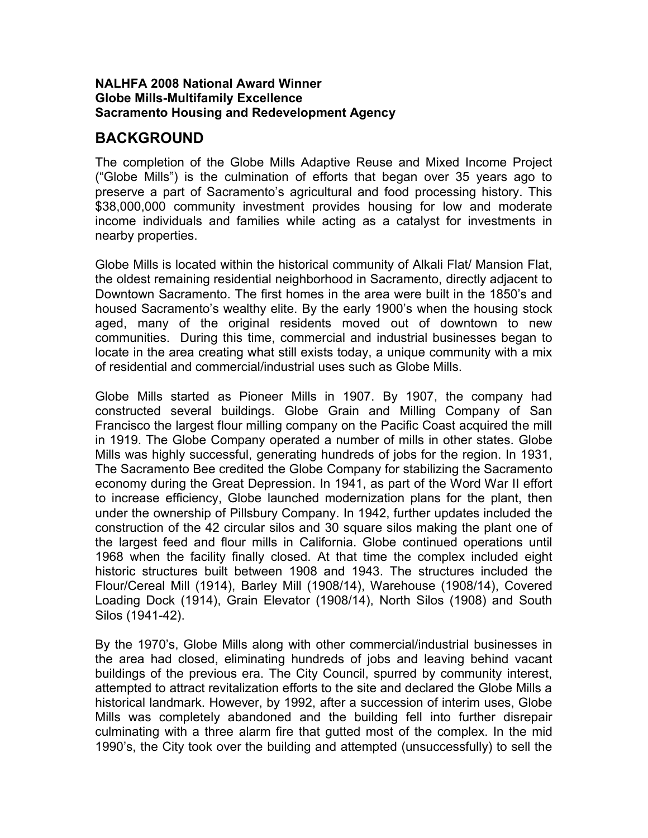#### **NALHFA 2008 National Award Winner Globe Mills-Multifamily Excellence Sacramento Housing and Redevelopment Agency**

#### **BACKGROUND**

The completion of the Globe Mills Adaptive Reuse and Mixed Income Project ("Globe Mills") is the culmination of efforts that began over 35 years ago to preserve a part of Sacramento's agricultural and food processing history. This \$38,000,000 community investment provides housing for low and moderate income individuals and families while acting as a catalyst for investments in nearby properties.

Globe Mills is located within the historical community of Alkali Flat/ Mansion Flat, the oldest remaining residential neighborhood in Sacramento, directly adjacent to Downtown Sacramento. The first homes in the area were built in the 1850's and housed Sacramento's wealthy elite. By the early 1900's when the housing stock aged, many of the original residents moved out of downtown to new communities. During this time, commercial and industrial businesses began to locate in the area creating what still exists today, a unique community with a mix of residential and commercial/industrial uses such as Globe Mills.

Globe Mills started as Pioneer Mills in 1907. By 1907, the company had constructed several buildings. Globe Grain and Milling Company of San Francisco the largest flour milling company on the Pacific Coast acquired the mill in 1919. The Globe Company operated a number of mills in other states. Globe Mills was highly successful, generating hundreds of jobs for the region. In 1931, The Sacramento Bee credited the Globe Company for stabilizing the Sacramento economy during the Great Depression. In 1941, as part of the Word War II effort to increase efficiency, Globe launched modernization plans for the plant, then under the ownership of Pillsbury Company. In 1942, further updates included the construction of the 42 circular silos and 30 square silos making the plant one of the largest feed and flour mills in California. Globe continued operations until 1968 when the facility finally closed. At that time the complex included eight historic structures built between 1908 and 1943. The structures included the Flour/Cereal Mill (1914), Barley Mill (1908/14), Warehouse (1908/14), Covered Loading Dock (1914), Grain Elevator (1908/14), North Silos (1908) and South Silos (1941-42).

By the 1970's, Globe Mills along with other commercial/industrial businesses in the area had closed, eliminating hundreds of jobs and leaving behind vacant buildings of the previous era. The City Council, spurred by community interest, attempted to attract revitalization efforts to the site and declared the Globe Mills a historical landmark. However, by 1992, after a succession of interim uses, Globe Mills was completely abandoned and the building fell into further disrepair culminating with a three alarm fire that gutted most of the complex. In the mid 1990's, the City took over the building and attempted (unsuccessfully) to sell the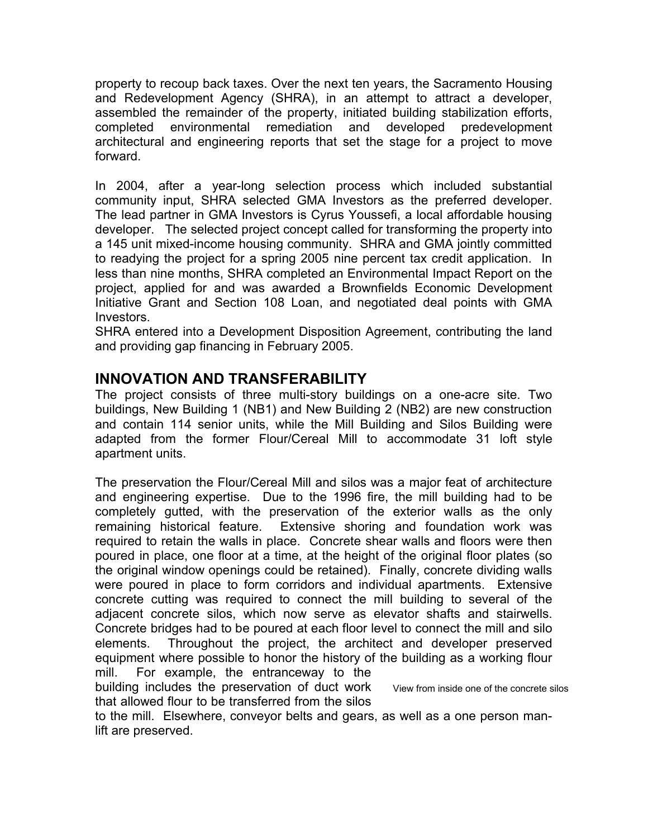property to recoup back taxes. Over the next ten years, the Sacramento Housing and Redevelopment Agency (SHRA), in an attempt to attract a developer, assembled the remainder of the property, initiated building stabilization efforts, completed environmental remediation and developed predevelopment architectural and engineering reports that set the stage for a project to move forward.

In 2004, after a year-long selection process which included substantial community input, SHRA selected GMA Investors as the preferred developer. The lead partner in GMA Investors is Cyrus Youssefi, a local affordable housing developer. The selected project concept called for transforming the property into a 145 unit mixed-income housing community. SHRA and GMA jointly committed to readying the project for a spring 2005 nine percent tax credit application. In less than nine months, SHRA completed an Environmental Impact Report on the project, applied for and was awarded a Brownfields Economic Development Initiative Grant and Section 108 Loan, and negotiated deal points with GMA Investors.

SHRA entered into a Development Disposition Agreement, contributing the land and providing gap financing in February 2005.

## **INNOVATION AND TRANSFERABILITY**

The project consists of three multi-story buildings on a one-acre site. Two buildings, New Building 1 (NB1) and New Building 2 (NB2) are new construction and contain 114 senior units, while the Mill Building and Silos Building were adapted from the former Flour/Cereal Mill to accommodate 31 loft style apartment units.

The preservation the Flour/Cereal Mill and silos was a major feat of architecture and engineering expertise. Due to the 1996 fire, the mill building had to be completely gutted, with the preservation of the exterior walls as the only remaining historical feature. Extensive shoring and foundation work was required to retain the walls in place. Concrete shear walls and floors were then poured in place, one floor at a time, at the height of the original floor plates (so the original window openings could be retained). Finally, concrete dividing walls were poured in place to form corridors and individual apartments. Extensive concrete cutting was required to connect the mill building to several of the adjacent concrete silos, which now serve as elevator shafts and stairwells. Concrete bridges had to be poured at each floor level to connect the mill and silo elements. Throughout the project, the architect and developer preserved equipment where possible to honor the history of the building as a working flour mill. For example, the entranceway to the

building includes the preservation of duct work that allowed flour to be transferred from the silos View from inside one of the concrete silos

to the mill. Elsewhere, conveyor belts and gears, as well as a one person manlift are preserved.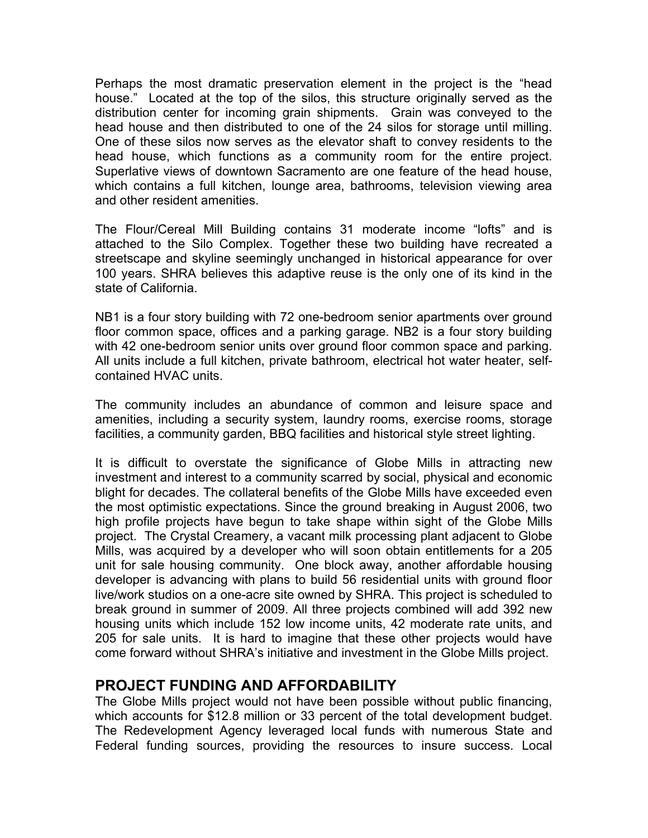Perhaps the most dramatic preservation element in the project is the "head house." Located at the top of the silos, this structure originally served as the distribution center for incoming grain shipments. Grain was conveyed to the head house and then distributed to one of the 24 silos for storage until milling. One of these silos now serves as the elevator shaft to convey residents to the head house, which functions as a community room for the entire project. Superlative views of downtown Sacramento are one feature of the head house, which contains a full kitchen, lounge area, bathrooms, television viewing area and other resident amenities.

The Flour/Cereal Mill Building contains 31 moderate income "lofts" and is attached to the Silo Complex. Together these two building have recreated a streetscape and skyline seemingly unchanged in historical appearance for over 100 years. SHRA believes this adaptive reuse is the only one of its kind in the state of California.

NB1 is a four story building with 72 one-bedroom senior apartments over ground floor common space, offices and a parking garage. NB2 is a four story building with 42 one-bedroom senior units over ground floor common space and parking. All units include a full kitchen, private bathroom, electrical hot water heater, selfcontained HVAC units.

The community includes an abundance of common and leisure space and amenities, including a security system, laundry rooms, exercise rooms, storage facilities, a community garden, BBQ facilities and historical style street lighting.

It is difficult to overstate the significance of Globe Mills in attracting new investment and interest to a community scarred by social, physical and economic blight for decades. The collateral benefits of the Globe Mills have exceeded even the most optimistic expectations. Since the ground breaking in August 2006, two high profile projects have begun to take shape within sight of the Globe Mills project. The Crystal Creamery, a vacant milk processing plant adjacent to Globe Mills, was acquired by a developer who will soon obtain entitlements for a 205 unit for sale housing community. One block away, another affordable housing developer is advancing with plans to build 56 residential units with ground floor live/work studios on a one-acre site owned by SHRA. This project is scheduled to break ground in summer of 2009. All three projects combined will add 392 new housing units which include 152 low income units, 42 moderate rate units, and 205 for sale units. It is hard to imagine that these other projects would have come forward without SHRA's initiative and investment in the Globe Mills project.

## **PROJECT FUNDING AND AFFORDABILITY**

The Globe Mills project would not have been possible without public financing, which accounts for \$12.8 million or 33 percent of the total development budget. The Redevelopment Agency leveraged local funds with numerous State and Federal funding sources, providing the resources to insure success. Local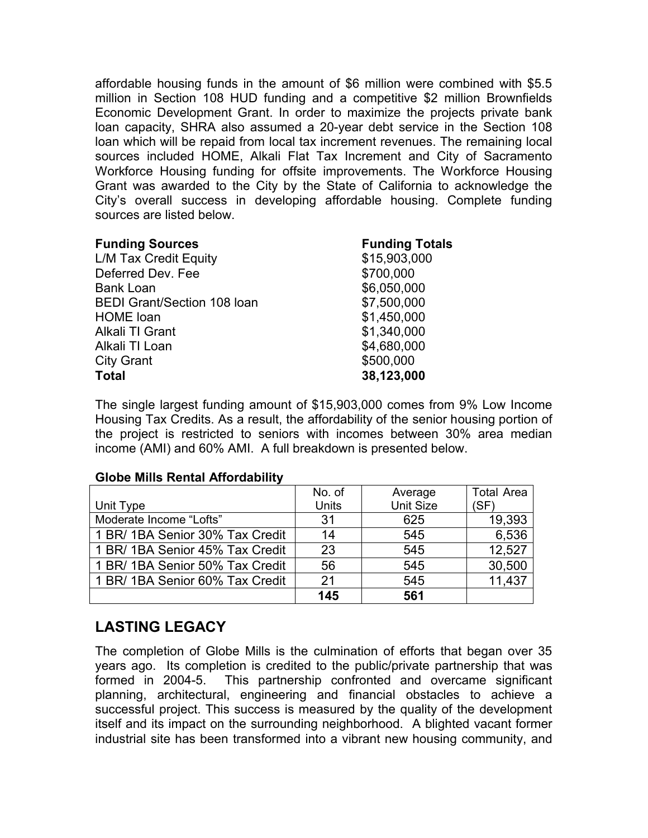affordable housing funds in the amount of \$6 million were combined with \$5.5 million in Section 108 HUD funding and a competitive \$2 million Brownfields Economic Development Grant. In order to maximize the projects private bank loan capacity, SHRA also assumed a 20-year debt service in the Section 108 loan which will be repaid from local tax increment revenues. The remaining local sources included HOME, Alkali Flat Tax Increment and City of Sacramento Workforce Housing funding for offsite improvements. The Workforce Housing Grant was awarded to the City by the State of California to acknowledge the City's overall success in developing affordable housing. Complete funding sources are listed below.

| <b>Funding Sources</b>             | <b>Funding Totals</b> |
|------------------------------------|-----------------------|
| L/M Tax Credit Equity              | \$15,903,000          |
| Deferred Dev. Fee                  | \$700,000             |
| <b>Bank Loan</b>                   | \$6,050,000           |
| <b>BEDI Grant/Section 108 loan</b> | \$7,500,000           |
| <b>HOME</b> loan                   | \$1,450,000           |
| Alkali TI Grant                    | \$1,340,000           |
| Alkali TI Loan                     | \$4,680,000           |
| <b>City Grant</b>                  | \$500,000             |
| <b>Total</b>                       | 38,123,000            |

The single largest funding amount of \$15,903,000 comes from 9% Low Income Housing Tax Credits. As a result, the affordability of the senior housing portion of the project is restricted to seniors with incomes between 30% area median income (AMI) and 60% AMI. A full breakdown is presented below.

|  |  |  | <b>Globe Mills Rental Affordability</b> |
|--|--|--|-----------------------------------------|
|--|--|--|-----------------------------------------|

|                                 | No. of       | Average          | <b>Total Area</b> |
|---------------------------------|--------------|------------------|-------------------|
| Unit Type                       | <b>Units</b> | <b>Unit Size</b> | (SF)              |
| Moderate Income "Lofts"         | 31           | 625              | 19,393            |
| 1 BR/ 1BA Senior 30% Tax Credit | 14           | 545              | 6,536             |
| 1 BR/ 1BA Senior 45% Tax Credit | 23           | 545              | 12.527            |
| 1 BR/ 1BA Senior 50% Tax Credit | 56           | 545              | 30,500            |
| 1 BR/ 1BA Senior 60% Tax Credit | 21           | 545              | 11,437            |
|                                 | 145          | 561              |                   |

# **LASTING LEGACY**

The completion of Globe Mills is the culmination of efforts that began over 35 years ago. Its completion is credited to the public/private partnership that was formed in 2004-5. This partnership confronted and overcame significant planning, architectural, engineering and financial obstacles to achieve a successful project. This success is measured by the quality of the development itself and its impact on the surrounding neighborhood. A blighted vacant former industrial site has been transformed into a vibrant new housing community, and